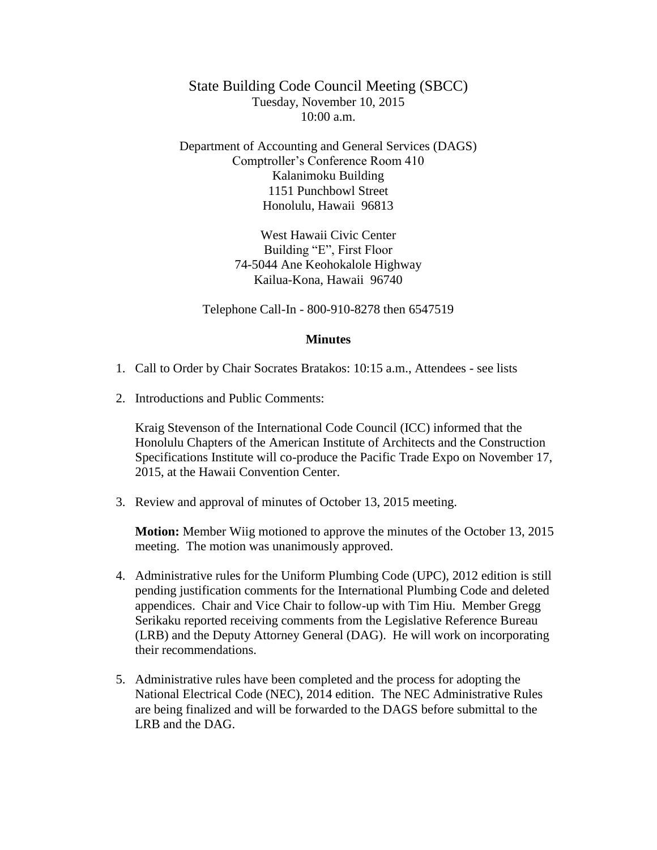State Building Code Council Meeting (SBCC) Tuesday, November 10, 2015  $10:00$  a.m.

Department of Accounting and General Services (DAGS) Comptroller's Conference Room 410 Kalanimoku Building 1151 Punchbowl Street Honolulu, Hawaii 96813

> West Hawaii Civic Center Building "E", First Floor 74-5044 Ane Keohokalole Highway Kailua-Kona, Hawaii 96740

Telephone Call-In - 800-910-8278 then 6547519

## **Minutes**

- 1. Call to Order by Chair Socrates Bratakos: 10:15 a.m., Attendees see lists
- 2. Introductions and Public Comments:

Kraig Stevenson of the International Code Council (ICC) informed that the Honolulu Chapters of the American Institute of Architects and the Construction Specifications Institute will co-produce the Pacific Trade Expo on November 17, 2015, at the Hawaii Convention Center.

3. Review and approval of minutes of October 13, 2015 meeting.

**Motion:** Member Wiig motioned to approve the minutes of the October 13, 2015 meeting. The motion was unanimously approved.

- 4. Administrative rules for the Uniform Plumbing Code (UPC), 2012 edition is still pending justification comments for the International Plumbing Code and deleted appendices. Chair and Vice Chair to follow-up with Tim Hiu. Member Gregg Serikaku reported receiving comments from the Legislative Reference Bureau (LRB) and the Deputy Attorney General (DAG). He will work on incorporating their recommendations.
- 5. Administrative rules have been completed and the process for adopting the National Electrical Code (NEC), 2014 edition. The NEC Administrative Rules are being finalized and will be forwarded to the DAGS before submittal to the LRB and the DAG.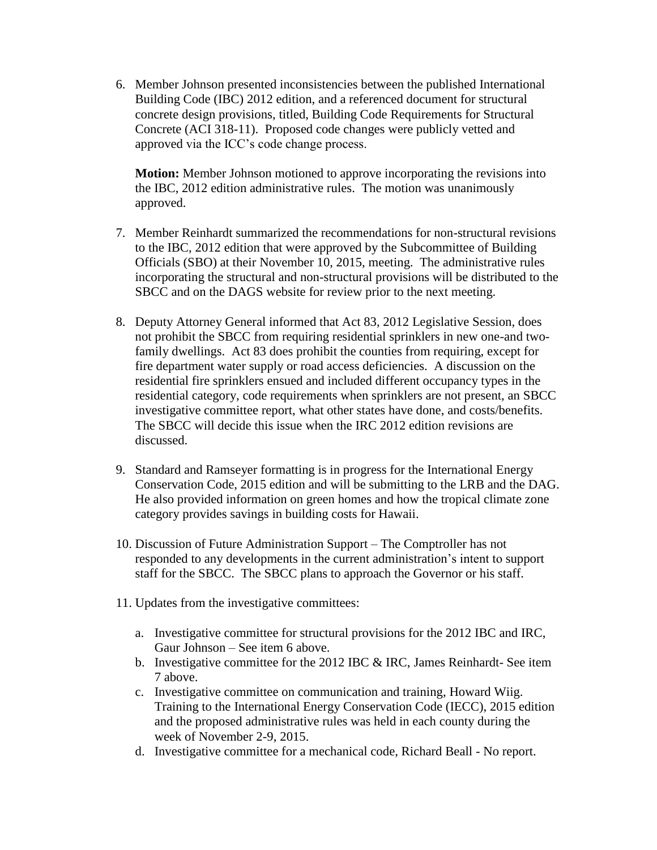6. Member Johnson presented inconsistencies between the published International Building Code (IBC) 2012 edition, and a referenced document for structural concrete design provisions, titled, Building Code Requirements for Structural Concrete (ACI 318-11). Proposed code changes were publicly vetted and approved via the ICC's code change process.

**Motion:** Member Johnson motioned to approve incorporating the revisions into the IBC, 2012 edition administrative rules. The motion was unanimously approved.

- 7. Member Reinhardt summarized the recommendations for non-structural revisions to the IBC, 2012 edition that were approved by the Subcommittee of Building Officials (SBO) at their November 10, 2015, meeting. The administrative rules incorporating the structural and non-structural provisions will be distributed to the SBCC and on the DAGS website for review prior to the next meeting.
- 8. Deputy Attorney General informed that Act 83, 2012 Legislative Session, does not prohibit the SBCC from requiring residential sprinklers in new one-and twofamily dwellings. Act 83 does prohibit the counties from requiring, except for fire department water supply or road access deficiencies. A discussion on the residential fire sprinklers ensued and included different occupancy types in the residential category, code requirements when sprinklers are not present, an SBCC investigative committee report, what other states have done, and costs/benefits. The SBCC will decide this issue when the IRC 2012 edition revisions are discussed.
- 9. Standard and Ramseyer formatting is in progress for the International Energy Conservation Code, 2015 edition and will be submitting to the LRB and the DAG. He also provided information on green homes and how the tropical climate zone category provides savings in building costs for Hawaii.
- 10. Discussion of Future Administration Support The Comptroller has not responded to any developments in the current administration's intent to support staff for the SBCC. The SBCC plans to approach the Governor or his staff.
- 11. Updates from the investigative committees:
	- a. Investigative committee for structural provisions for the 2012 IBC and IRC, Gaur Johnson – See item 6 above.
	- b. Investigative committee for the 2012 IBC  $&$  IRC, James Reinhardt- See item 7 above.
	- c. Investigative committee on communication and training, Howard Wiig. Training to the International Energy Conservation Code (IECC), 2015 edition and the proposed administrative rules was held in each county during the week of November 2-9, 2015.
	- d. Investigative committee for a mechanical code, Richard Beall No report.